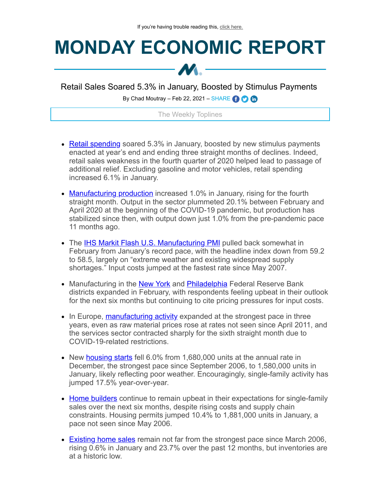## **MONDAY ECONOMIC REPORT**



Retail Sales Soared 5.3% in January, Boosted by Stimulus Payments

By Chad Moutray – Feb 22, 2021 – SHARE  $\bigodot$   $\bigodot$ 

## The Weekly Toplines

- [Retail spending](https://click.email.nam.org/?qs=d22af394ed0009045946b72272f5aee9be8e30cc0673ff1ecb459f95f3ba92e73e31b33ebd143e41f0a9188bedb09000c89ce09d50520fcfaafb9c3176041faa) soared 5.3% in January, boosted by new stimulus payments enacted at year's end and ending three straight months of declines. Indeed, retail sales weakness in the fourth quarter of 2020 helped lead to passage of additional relief. Excluding gasoline and motor vehicles, retail spending increased 6.1% in January.
- [Manufacturing production](https://click.email.nam.org/?qs=d22af394ed00090422109c10e7c3890f2b89c9d99f941f2ecb6bc8245c37b6e94e4f2ac38ffc966ebad823c6d71adefa1873f336bca507bcd10af5277da83c1e) increased 1.0% in January, rising for the fourth straight month. Output in the sector plummeted 20.1% between February and April 2020 at the beginning of the COVID-19 pandemic, but production has stabilized since then, with output down just 1.0% from the pre-pandemic pace 11 months ago.
- The **IHS Markit Flash U.S. Manufacturing PMI** pulled back somewhat in February from January's record pace, with the headline index down from 59.2 to 58.5, largely on "extreme weather and existing widespread supply shortages." Input costs jumped at the fastest rate since May 2007.
- Manufacturing in the **New York** and **Philadelphia** Federal Reserve Bank districts expanded in February, with respondents feeling upbeat in their outlook for the next six months but continuing to cite pricing pressures for input costs.
- In Europe, [manufacturing activity](https://click.email.nam.org/?qs=d22af394ed0009049debbb880029efd0fb6e65779613869cf0542a79ed44050736ad81dbe0fd2f09881d568d431438b1efc5bb6d7fd5c92aa543de5aea3e69c3) expanded at the strongest pace in three years, even as raw material prices rose at rates not seen since April 2011, and the services sector contracted sharply for the sixth straight month due to COVID-19-related restrictions.
- New [housing starts](https://click.email.nam.org/?qs=d22af394ed0009043c468e945295da17592fca57c2a15d599ae6854ff5735bb01b727d0d1c13cfa64c398f0dbbc9c8146ce8b4cb88ef7492a8a85f434796730b) fell 6.0% from 1,680,000 units at the annual rate in December, the strongest pace since September 2006, to 1,580,000 units in January, likely reflecting poor weather. Encouragingly, single-family activity has jumped 17.5% year-over-year.
- [Home builders](https://click.email.nam.org/?qs=d22af394ed0009040fe4676e331f75c16b3a85544e306f5c6f33433fb4663c7f23732747d5c41d235c4c4d060b6d5f70c9cdc275c95425f8384afb18f6b488a5) continue to remain upbeat in their expectations for single-family sales over the next six months, despite rising costs and supply chain constraints. Housing permits jumped 10.4% to 1,881,000 units in January, a pace not seen since May 2006.
- [Existing home sales](https://click.email.nam.org/?qs=d22af394ed000904a592052dbee82a612619ede67924a52db3b99e771a72c9640b7dbb6fc37933162603acf99e253838a9c7da55101d9c483aba4ec129c96f1f) remain not far from the strongest pace since March 2006, rising 0.6% in January and 23.7% over the past 12 months, but inventories are at a historic low.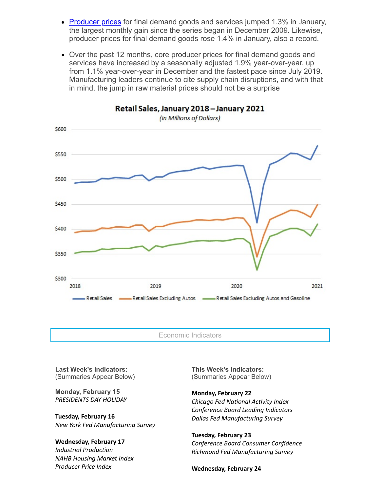- [Producer prices](https://click.email.nam.org/?qs=d22af394ed000904e5a14f62c92205c1d9beeb916c63f306dbacc9c97bb862b621e2d0e2184852a6372ae44a4e1a6c5ae3095e5171cd872cccbed72258ac99d1) for final demand goods and services jumped 1.3% in January, the largest monthly gain since the series began in December 2009. Likewise, producer prices for final demand goods rose 1.4% in January, also a record.
- Over the past 12 months, core producer prices for final demand goods and services have increased by a seasonally adjusted 1.9% year-over-year, up from 1.1% year-over-year in December and the fastest pace since July 2019. Manufacturing leaders continue to cite supply chain disruptions, and with that in mind, the jump in raw material prices should not be a surprise



Economic Indicators

Retail Sales, January 2018 - January 2021

**Last Week's Indicators:** (Summaries Appear Below)

**Monday, February 15** *PRESIDENTS DAY HOLIDAY*

**Tuesday, February 16** *New York Fed Manufacturing Survey*

## **Wednesday, February 17**

*Industrial Production NAHB Housing Market Index Producer Price Index*

**This Week's Indicators:** (Summaries Appear Below)

**Monday, February 22** *Chicago Fed National Activity Index* 

*Conference Board Leading Indicators Dallas Fed Manufacturing Survey*

**Tuesday, February 23** *Conference Board Consumer Confidence Richmond Fed Manufacturing Survey*

**Wednesday, February 24**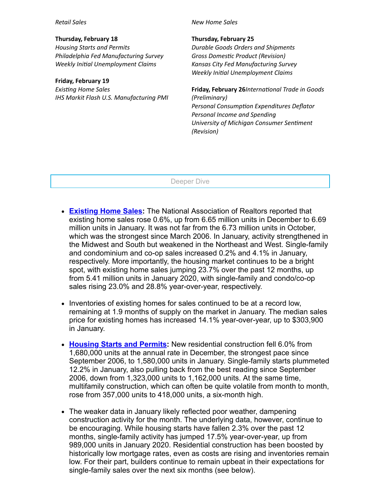*Retail Sales*

**Thursday, February 18** *Housing Starts and Permits Philadelphia Fed Manufacturing Survey Weekly Inial Unemployment Claims*

**Friday, February 19** *Exisng Home Sales IHS Markit Flash U.S. Manufacturing PMI* *New Home Sales*

**Thursday, February 25**

*Durable Goods Orders and Shipments*  $Gross Domestic Product (Revision)$ *Kansas City Fed Manufacturing Survey Weekly Inial Unemployment Claims*

**Friday, February 26***International Trade in Goods (Preliminary) Personal Consumption Expenditures Deflator Personal Income and Spending <u>University of Michigan Consumer Sentiment</u> (Revision)*

Deeper Dive

- **[Existing Home Sales](https://click.email.nam.org/?qs=d22af394ed000904a592052dbee82a612619ede67924a52db3b99e771a72c9640b7dbb6fc37933162603acf99e253838a9c7da55101d9c483aba4ec129c96f1f):** The National Association of Realtors reported that existing home sales rose 0.6%, up from 6.65 million units in December to 6.69 million units in January. It was not far from the 6.73 million units in October, which was the strongest since March 2006. In January, activity strengthened in the Midwest and South but weakened in the Northeast and West. Single-family and condominium and co-op sales increased 0.2% and 4.1% in January, respectively. More importantly, the housing market continues to be a bright spot, with existing home sales jumping 23.7% over the past 12 months, up from 5.41 million units in January 2020, with single-family and condo/co-op sales rising 23.0% and 28.8% year-over-year, respectively.
- Inventories of existing homes for sales continued to be at a record low, remaining at 1.9 months of supply on the market in January. The median sales price for existing homes has increased 14.1% year-over-year, up to \$303,900 in January.
- Housing **Starts and Permits:** New residential construction fell 6.0% from 1,680,000 units at the annual rate in December, the strongest pace since September 2006, to 1,580,000 units in January. Single-family starts plummeted 12.2% in January, also pulling back from the best reading since September 2006, down from 1,323,000 units to 1,162,000 units. At the same time, multifamily construction, which can often be quite volatile from month to month, rose from 357,000 units to 418,000 units, a six-month high.
- The weaker data in January likely reflected poor weather, dampening construction activity for the month. The underlying data, however, continue to be encouraging. While housing starts have fallen 2.3% over the past 12 months, single-family activity has jumped 17.5% year-over-year, up from 989,000 units in January 2020. Residential construction has been boosted by historically low mortgage rates, even as costs are rising and inventories remain low. For their part, builders continue to remain upbeat in their expectations for single-family sales over the next six months (see below).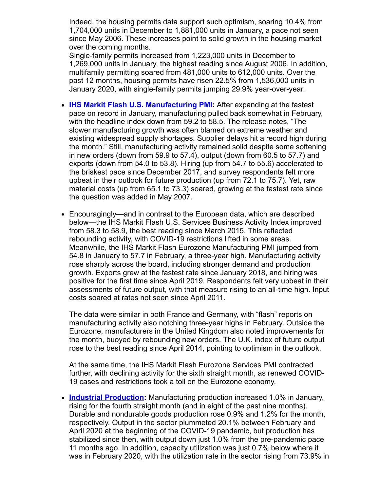Indeed, the housing permits data support such optimism, soaring 10.4% from 1,704,000 units in December to 1,881,000 units in January, a pace not seen since May 2006. These increases point to solid growth in the housing market over the coming months.

Single-family permits increased from 1,223,000 units in December to 1,269,000 units in January, the highest reading since August 2006. In addition, multifamily permitting soared from 481,000 units to 612,000 units. Over the past 12 months, housing permits have risen 22.5% from 1,536,000 units in January 2020, with single-family permits jumping 29.9% year-over-year.

- $\bullet$ **[IHS Markit Flash U.S. Manufacturing PMI:](https://click.email.nam.org/?qs=d22af394ed0009040bc1d29d0cae48864f1ea82e962b6a796709afa09618dded8cc65a22f7b4907e76aa4e8b4c593367814800a73a28054e6d2ab886a9778eb7)** After expanding at the fastest pace on record in January, manufacturing pulled back somewhat in February, with the headline index down from 59.2 to 58.5. The release notes, "The slower manufacturing growth was often blamed on extreme weather and existing widespread supply shortages. Supplier delays hit a record high during the month." Still, manufacturing activity remained solid despite some softening in new orders (down from 59.9 to 57.4), output (down from 60.5 to 57.7) and exports (down from 54.0 to 53.8). Hiring (up from 54.7 to 55.6) accelerated to the briskest pace since December 2017, and survey respondents felt more upbeat in their outlook for future production (up from 72.1 to 75.7). Yet, raw material costs (up from 65.1 to 73.3) soared, growing at the fastest rate since the question was added in May 2007.
- Encouragingly—and in contrast to the European data, which are described below—the IHS Markit Flash U.S. Services Business Activity Index improved from 58.3 to 58.9, the best reading since March 2015. This reflected rebounding activity, with COVID-19 restrictions lifted in some areas. Meanwhile, the IHS Markit Flash Eurozone Manufacturing PMI jumped from 54.8 in January to 57.7 in February, a three-year high. Manufacturing activity rose sharply across the board, including stronger demand and production growth. Exports grew at the fastest rate since January 2018, and hiring was positive for the first time since April 2019. Respondents felt very upbeat in their assessments of future output, with that measure rising to an all-time high. Input costs soared at rates not seen since April 2011.

The data were similar in both France and Germany, with "flash" reports on manufacturing activity also notching three-year highs in February. Outside the Eurozone, manufacturers in the United Kingdom also noted improvements for the month, buoyed by rebounding new orders. The U.K. index of future output rose to the best reading since April 2014, pointing to optimism in the outlook.

At the same time, the IHS Markit Flash Eurozone Services PMI contracted further, with declining activity for the sixth straight month, as renewed COVID-19 cases and restrictions took a toll on the Eurozone economy.

**[Industrial Production](https://click.email.nam.org/?qs=d22af394ed00090422109c10e7c3890f2b89c9d99f941f2ecb6bc8245c37b6e94e4f2ac38ffc966ebad823c6d71adefa1873f336bca507bcd10af5277da83c1e):** Manufacturing production increased 1.0% in January, rising for the fourth straight month (and in eight of the past nine months). Durable and nondurable goods production rose 0.9% and 1.2% for the month, respectively. Output in the sector plummeted 20.1% between February and April 2020 at the beginning of the COVID-19 pandemic, but production has stabilized since then, with output down just 1.0% from the pre-pandemic pace 11 months ago. In addition, capacity utilization was just 0.7% below where it was in February 2020, with the utilization rate in the sector rising from 73.9% in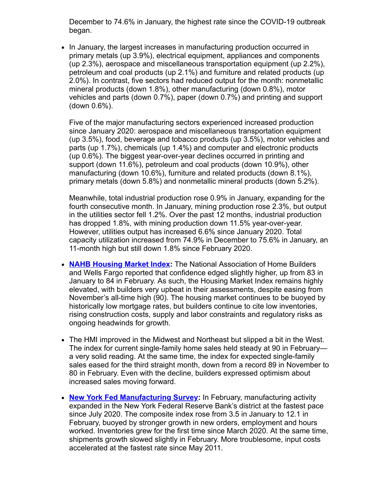December to 74.6% in January, the highest rate since the COVID-19 outbreak began.

• In January, the largest increases in manufacturing production occurred in primary metals (up 3.9%), electrical equipment, appliances and components (up 2.3%), aerospace and miscellaneous transportation equipment (up 2.2%), petroleum and coal products (up 2.1%) and furniture and related products (up 2.0%). In contrast, five sectors had reduced output for the month: nonmetallic mineral products (down 1.8%), other manufacturing (down 0.8%), motor vehicles and parts (down 0.7%), paper (down 0.7%) and printing and support (down 0.6%).

Five of the major manufacturing sectors experienced increased production since January 2020: aerospace and miscellaneous transportation equipment (up 3.5%), food, beverage and tobacco products (up 3.5%), motor vehicles and parts (up 1.7%), chemicals (up 1.4%) and computer and electronic products (up 0.6%). The biggest year-over-year declines occurred in printing and support (down 11.6%), petroleum and coal products (down 10.9%), other manufacturing (down 10.6%), furniture and related products (down 8.1%), primary metals (down 5.8%) and nonmetallic mineral products (down 5.2%).

Meanwhile, total industrial production rose 0.9% in January, expanding for the fourth consecutive month. In January, mining production rose 2.3%, but output in the utilities sector fell 1.2%. Over the past 12 months, industrial production has dropped 1.8%, with mining production down 11.5% year-over-year. However, utilities output has increased 6.6% since January 2020. Total capacity utilization increased from 74.9% in December to 75.6% in January, an 11-month high but still down 1.8% since February 2020.

- **[NAHB Housing Market Index](https://click.email.nam.org/?qs=d22af394ed0009040fe4676e331f75c16b3a85544e306f5c6f33433fb4663c7f23732747d5c41d235c4c4d060b6d5f70c9cdc275c95425f8384afb18f6b488a5):** The National Association of Home Builders and Wells Fargo reported that confidence edged slightly higher, up from 83 in January to 84 in February. As such, the Housing Market Index remains highly elevated, with builders very upbeat in their assessments, despite easing from November's all-time high (90). The housing market continues to be buoyed by historically low mortgage rates, but builders continue to cite low inventories, rising construction costs, supply and labor constraints and regulatory risks as ongoing headwinds for growth.
- The HMI improved in the Midwest and Northeast but slipped a bit in the West. The index for current single-family home sales held steady at 90 in February a very solid reading. At the same time, the index for expected single-family sales eased for the third straight month, down from a record 89 in November to 80 in February. Even with the decline, builders expressed optimism about increased sales moving forward.
- **[New York Fed Manufacturing Survey](https://click.email.nam.org/?qs=d22af394ed0009040f6e132b5d378633e51821d3f790014923eee140b612fcf9cc6bd6d438017b8aa2c3a3a5aeb3694d0efdedc3d357a7e00d26f22938af18a0):** In February, manufacturing activity expanded in the New York Federal Reserve Bank's district at the fastest pace since July 2020. The composite index rose from 3.5 in January to 12.1 in February, buoyed by stronger growth in new orders, employment and hours worked. Inventories grew for the first time since March 2020. At the same time, shipments growth slowed slightly in February. More troublesome, input costs accelerated at the fastest rate since May 2011.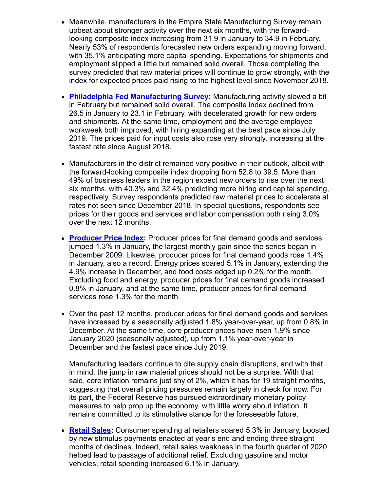- Meanwhile, manufacturers in the Empire State Manufacturing Survey remain upbeat about stronger activity over the next six months, with the forwardlooking composite index increasing from 31.9 in January to 34.9 in February. Nearly 53% of respondents forecasted new orders expanding moving forward, with 35.1% anticipating more capital spending. Expectations for shipments and employment slipped a little but remained solid overall. Those completing the survey predicted that raw material prices will continue to grow strongly, with the index for expected prices paid rising to the highest level since November 2018.
- **[Philadelphia Fed Manufacturing Survey:](https://click.email.nam.org/?qs=d22af394ed000904f88869a692e215541c15bb62fbc06cc0522ffbbdff1ccc973a48d00400b51b85f7b6c5f938ec374c355e67ca55a7ff7242172a0aa656168a)** Manufacturing activity slowed a bit in February but remained solid overall. The composite index declined from 26.5 in January to 23.1 in February, with decelerated growth for new orders and shipments. At the same time, employment and the average employee workweek both improved, with hiring expanding at the best pace since July 2019. The prices paid for input costs also rose very strongly, increasing at the fastest rate since August 2018.
- Manufacturers in the district remained very positive in their outlook, albeit with the forward-looking composite index dropping from 52.8 to 39.5. More than 49% of business leaders in the region expect new orders to rise over the next six months, with 40.3% and 32.4% predicting more hiring and capital spending, respectively. Survey respondents predicted raw material prices to accelerate at rates not seen since December 2018. In special questions, respondents see prices for their goods and services and labor compensation both rising 3.0% over the next 12 months.
- **[Producer Price Index:](https://click.email.nam.org/?qs=d22af394ed000904e5a14f62c92205c1d9beeb916c63f306dbacc9c97bb862b621e2d0e2184852a6372ae44a4e1a6c5ae3095e5171cd872cccbed72258ac99d1)** Producer prices for final demand goods and services jumped 1.3% in January, the largest monthly gain since the series began in December 2009. Likewise, producer prices for final demand goods rose 1.4% in January, also a record. Energy prices soared 5.1% in January, extending the 4.9% increase in December, and food costs edged up 0.2% for the month. Excluding food and energy, producer prices for final demand goods increased 0.8% in January, and at the same time, producer prices for final demand services rose 1.3% for the month.
- Over the past 12 months, producer prices for final demand goods and services have increased by a seasonally adjusted 1.8% year-over-year, up from 0.8% in December. At the same time, core producer prices have risen 1.9% since January 2020 (seasonally adjusted), up from 1.1% year-over-year in December and the fastest pace since July 2019.

Manufacturing leaders continue to cite supply chain disruptions, and with that in mind, the jump in raw material prices should not be a surprise. With that said, core inflation remains just shy of 2%, which it has for 19 straight months, suggesting that overall pricing pressures remain largely in check for now. For its part, the Federal Reserve has pursued extraordinary monetary policy measures to help prop up the economy, with little worry about inflation. It remains committed to its stimulative stance for the foreseeable future.

• **[Retail Sales:](https://click.email.nam.org/?qs=d22af394ed0009045946b72272f5aee9be8e30cc0673ff1ecb459f95f3ba92e73e31b33ebd143e41f0a9188bedb09000c89ce09d50520fcfaafb9c3176041faa)** Consumer spending at retailers soared 5.3% in January, boosted by new stimulus payments enacted at year's end and ending three straight months of declines. Indeed, retail sales weakness in the fourth quarter of 2020 helped lead to passage of additional relief. Excluding gasoline and motor vehicles, retail spending increased 6.1% in January.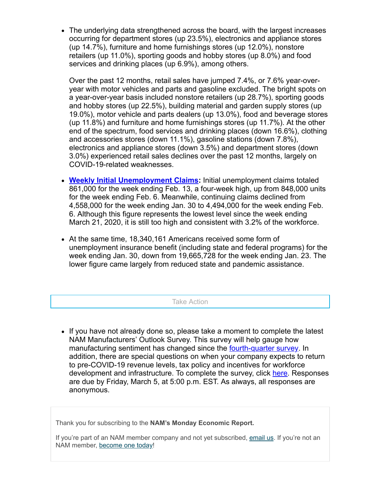The underlying data strengthened across the board, with the largest increases occurring for department stores (up 23.5%), electronics and appliance stores (up 14.7%), furniture and home furnishings stores (up 12.0%), nonstore retailers (up 11.0%), sporting goods and hobby stores (up 8.0%) and food services and drinking places (up 6.9%), among others.

Over the past 12 months, retail sales have jumped 7.4%, or 7.6% year-overyear with motor vehicles and parts and gasoline excluded. The bright spots on a year-over-year basis included nonstore retailers (up 28.7%), sporting goods and hobby stores (up 22.5%), building material and garden supply stores (up 19.0%), motor vehicle and parts dealers (up 13.0%), food and beverage stores (up 11.8%) and furniture and home furnishings stores (up 11.7%). At the other end of the spectrum, food services and drinking places (down 16.6%), clothing and accessories stores (down 11.1%), gasoline stations (down 7.8%), electronics and appliance stores (down 3.5%) and department stores (down 3.0%) experienced retail sales declines over the past 12 months, largely on COVID-19-related weaknesses.

- **[Weekly Initial Unemployment Claims](https://click.email.nam.org/?qs=05859bb3f40ac0e28c936ebb79dbb9b4bdd7c747fe256b4f2cfdf76a0e3cfde5536c2de6bfc13355082aa9973b8e6265e15a37164582836916ccb21d41209afc):** Initial unemployment claims totaled 861,000 for the week ending Feb. 13, a four-week high, up from 848,000 units for the week ending Feb. 6. Meanwhile, continuing claims declined from 4,558,000 for the week ending Jan. 30 to 4,494,000 for the week ending Feb. 6. Although this figure represents the lowest level since the week ending March 21, 2020, it is still too high and consistent with 3.2% of the workforce.
- At the same time, 18,340,161 Americans received some form of unemployment insurance benefit (including state and federal programs) for the week ending Jan. 30, down from 19,665,728 for the week ending Jan. 23. The lower figure came largely from reduced state and pandemic assistance.

Take Action

• If you have not already done so, please take a moment to complete the latest NAM Manufacturers' Outlook Survey. This survey will help gauge how manufacturing sentiment has changed since the **[fourth-quarter survey](https://click.email.nam.org/?qs=05859bb3f40ac0e25d480cb007f103f8469e608d5dda755de0677c3fbe63338f3f7edd5f35fa8bbeacccccbbdc8c75c4c00865b0eeee5aa05fbf7b05804d1544)**. In addition, there are special questions on when your company expects to return to pre-COVID-19 revenue levels, tax policy and incentives for workforce development and infrastructure. To complete the survey, click [here](https://click.email.nam.org/?qs=05859bb3f40ac0e2d87b911de108505d27c40ac7aaea0497b7bd05af116ba502af537695a5abc9baba426aa38d40457aa3450af7b4bbd012f212925bf3f1a512). Responses are due by Friday, March 5, at 5:00 p.m. EST. As always, all responses are anonymous.

Thank you for subscribing to the **NAM's Monday Economic Report.**

If you're part of an NAM member company and not yet subscribed, [email us](mailto:subscribe@NAM.ORG?subject=). If you're not an NAM member, [become one today](https://click.email.nam.org/?qs=05859bb3f40ac0e2ae24885544bc2092b288d3b8e51f22b2697168cf37a152d1ac7e85a173314b0c8ab3d1e51c3e1ea2256651da59160f8473a61d77037e54df)!